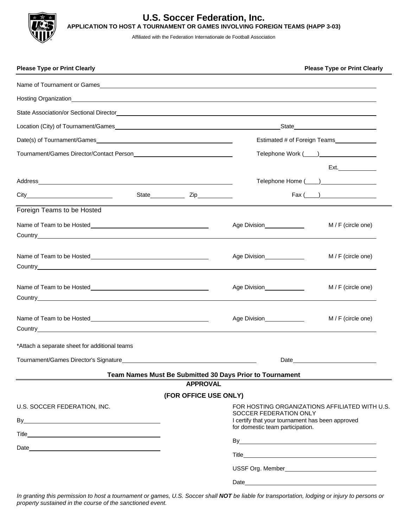

## **U.S. Soccer Federation, Inc. APPLICATION TO HOST A TOURNAMENT OR GAMES INVOLVING FOREIGN TEAMS (HAPP 3-03)**

Affiliated with the Federation Internationale de Football Association

| <b>Please Type or Print Clearly</b>                                                                                                                                                                                                  |                                                                                                                                                                  |                       |                                                          | <b>Please Type or Print Clearly</b> |
|--------------------------------------------------------------------------------------------------------------------------------------------------------------------------------------------------------------------------------------|------------------------------------------------------------------------------------------------------------------------------------------------------------------|-----------------------|----------------------------------------------------------|-------------------------------------|
|                                                                                                                                                                                                                                      |                                                                                                                                                                  |                       |                                                          |                                     |
| Hosting Organization <b>Exercísion</b> and the contract of the contract of the contract of the contract of the contract of the contract of the contract of the contract of the contract of the contract of the contract of the cont  |                                                                                                                                                                  |                       |                                                          |                                     |
|                                                                                                                                                                                                                                      |                                                                                                                                                                  |                       |                                                          |                                     |
|                                                                                                                                                                                                                                      |                                                                                                                                                                  |                       |                                                          |                                     |
| Date(s) of Tournament/Games                                                                                                                                                                                                          |                                                                                                                                                                  |                       | Estimated # of Foreign Teams                             |                                     |
|                                                                                                                                                                                                                                      |                                                                                                                                                                  |                       |                                                          |                                     |
|                                                                                                                                                                                                                                      |                                                                                                                                                                  |                       |                                                          | Ext.                                |
|                                                                                                                                                                                                                                      |                                                                                                                                                                  |                       |                                                          |                                     |
|                                                                                                                                                                                                                                      |                                                                                                                                                                  |                       |                                                          | $\text{Fax} (\_\_)$                 |
| Foreign Teams to be Hosted                                                                                                                                                                                                           |                                                                                                                                                                  |                       |                                                          |                                     |
|                                                                                                                                                                                                                                      |                                                                                                                                                                  |                       |                                                          | M / F (circle one)                  |
|                                                                                                                                                                                                                                      |                                                                                                                                                                  |                       | Age Division______________                               | M / F (circle one)                  |
| Country <b>Countries and Countries and Countries and Countries and Countries and Countries and Countries and Countries and Countries and Countries and Countries and Countries and Countries and Countries and Countries and Cou</b> |                                                                                                                                                                  |                       | Age Division______________                               | $M / F$ (circle one)                |
| <b>Country Country Country Country Country Country Country Country Country Country Country Country Country Country</b>                                                                                                               |                                                                                                                                                                  |                       | Age Division                                             | M / F (circle one)                  |
| *Attach a separate sheet for additional teams                                                                                                                                                                                        |                                                                                                                                                                  |                       |                                                          |                                     |
| Tournament/Games Director's Signature<br><u>Fournament/Games Director's Signature</u>                                                                                                                                                |                                                                                                                                                                  |                       |                                                          |                                     |
|                                                                                                                                                                                                                                      |                                                                                                                                                                  | <b>APPROVAL</b>       | Team Names Must Be Submitted 30 Days Prior to Tournament |                                     |
|                                                                                                                                                                                                                                      |                                                                                                                                                                  | (FOR OFFICE USE ONLY) |                                                          |                                     |
| U.S. SOCCER FEDERATION, INC.                                                                                                                                                                                                         | FOR HOSTING ORGANIZATIONS AFFILIATED WITH U.S.<br>SOCCER FEDERATION ONLY<br>I certify that your tournament has been approved<br>for domestic team participation. |                       |                                                          |                                     |
|                                                                                                                                                                                                                                      |                                                                                                                                                                  |                       |                                                          |                                     |
|                                                                                                                                                                                                                                      |                                                                                                                                                                  |                       |                                                          |                                     |
|                                                                                                                                                                                                                                      |                                                                                                                                                                  |                       |                                                          |                                     |
|                                                                                                                                                                                                                                      |                                                                                                                                                                  |                       |                                                          |                                     |

*In granting this permission to host a tournament or games, U.S. Soccer shall NOT be liable for transportation, lodging or injury to persons or property sustained in the course of the sanctioned event.*